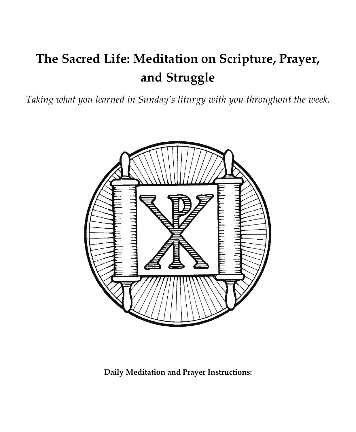# **The Sacred Life: Meditation on Scripture, Prayer, and Struggle**

*Taking what you learned in Sunday's liturgy with you throughout the week.*



**Daily Meditation and Prayer Instructions:**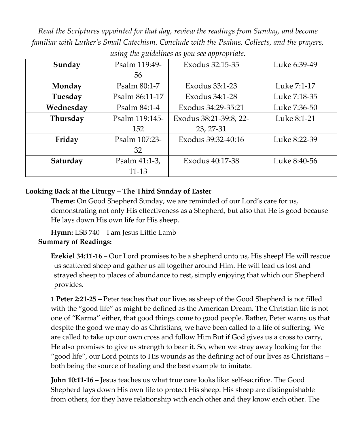*Read the Scriptures appointed for that day, review the readings from Sunday, and become familiar with Luther's Small Catechism. Conclude with the Psalms, Collects, and the prayers, using the guidelines as you see appropriate.*

| Sunday    | Psalm 119:49-  | Exodus 32:15-35        | Luke 6:39-49 |  |
|-----------|----------------|------------------------|--------------|--|
|           | 56             |                        |              |  |
| Monday    | Psalm 80:1-7   | Exodus 33:1-23         | Luke 7:1-17  |  |
| Tuesday   | Psalm 86:11-17 | Exodus 34:1-28         | Luke 7:18-35 |  |
| Wednesday | Psalm 84:1-4   | Exodus 34:29-35:21     | Luke 7:36-50 |  |
| Thursday  | Psalm 119:145- | Exodus 38:21-39:8, 22- | Luke 8:1-21  |  |
|           | 152            | 23, 27-31              |              |  |
| Friday    | Psalm 107:23-  | Exodus 39:32-40:16     | Luke 8:22-39 |  |
|           | 32             |                        |              |  |
| Saturday  | Psalm 41:1-3,  | Exodus 40:17-38        | Luke 8:40-56 |  |
|           | 11-13          |                        |              |  |

#### **Looking Back at the Liturgy – The Third Sunday of Easter**

**Theme:** On Good Shepherd Sunday, we are reminded of our Lord's care for us, demonstrating not only His effectiveness as a Shepherd, but also that He is good because He lays down His own life for His sheep.

**Hymn:** LSB 740 – I am Jesus Little Lamb

#### **Summary of Readings:**

**Ezekiel 34:11-16** – Our Lord promises to be a shepherd unto us, His sheep! He will rescue us scattered sheep and gather us all together around Him. He will lead us lost and strayed sheep to places of abundance to rest, simply enjoying that which our Shepherd provides.

**1 Peter 2:21-25 –** Peter teaches that our lives as sheep of the Good Shepherd is not filled with the "good life" as might be defined as the American Dream. The Christian life is not one of "Karma" either, that good things come to good people. Rather, Peter warns us that despite the good we may do as Christians, we have been called to a life of suffering. We are called to take up our own cross and follow Him But if God gives us a cross to carry, He also promises to give us strength to bear it. So, when we stray away looking for the "good life", our Lord points to His wounds as the defining act of our lives as Christians – both being the source of healing and the best example to imitate.

**John 10:11-16 –** Jesus teaches us what true care looks like: self-sacrifice. The Good Shepherd lays down His own life to protect His sheep. His sheep are distinguishable from others, for they have relationship with each other and they know each other. The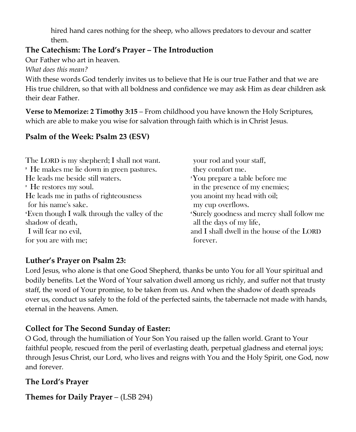hired hand cares nothing for the sheep, who allows predators to devour and scatter them.

## **The Catechism: The Lord's Prayer – The Introduction**

Our Father who art in heaven.

*What does this mean?*

With these words God tenderly invites us to believe that He is our true Father and that we are His true children, so that with all boldness and confidence we may ask Him as dear children ask their dear Father.

**Verse to Memorize: 2 Timothy 3:15** – From childhood you have known the Holy Scriptures, which are able to make you wise for salvation through faith which is in Christ Jesus.

# **Psalm of the Week: Psalm 23 (ESV)**

| You prepare a table before me              |
|--------------------------------------------|
| in the presence of my enemies;             |
|                                            |
|                                            |
| 'Surely goodness and mercy shall follow me |
|                                            |
| and I shall dwell in the house of the LORD |
|                                            |
|                                            |

## **Luther's Prayer on Psalm 23:**

Lord Jesus, who alone is that one Good Shepherd, thanks be unto You for all Your spiritual and bodily benefits. Let the Word of Your salvation dwell among us richly, and suffer not that trusty staff, the word of Your promise, to be taken from us. And when the shadow of death spreads over us, conduct us safely to the fold of the perfected saints, the tabernacle not made with hands, eternal in the heavens. Amen.

# **Collect for The Second Sunday of Easter:**

O God, through the humiliation of Your Son You raised up the fallen world. Grant to Your faithful people, rescued from the peril of everlasting death, perpetual gladness and eternal joys; through Jesus Christ, our Lord, who lives and reigns with You and the Holy Spirit, one God, now and forever.

## **The Lord's Prayer**

**Themes for Daily Prayer** – (LSB 294)